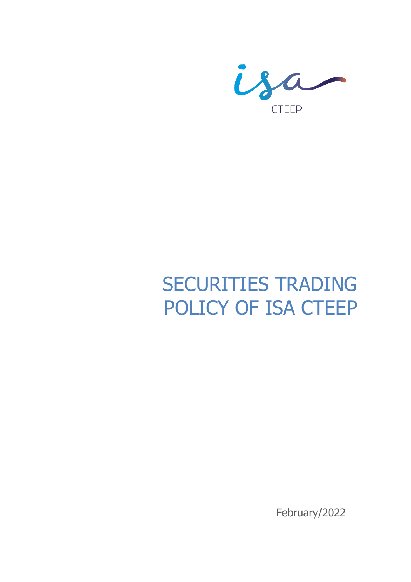

# SECURITIES TRADING POLICY OF ISA CTEEP

February/2022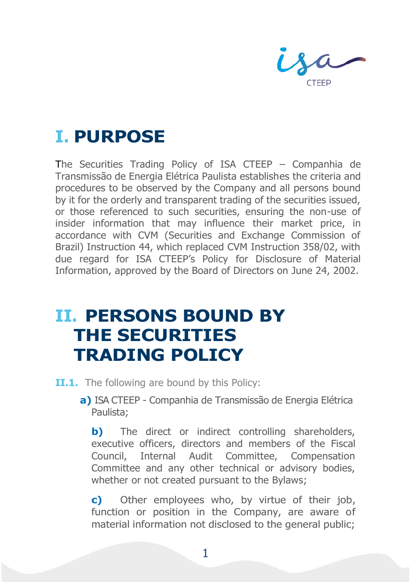CTFFP

### **I. PURPOSE**

The Securities Trading Policy of ISA CTEEP – Companhia de Transmissão de Energia Elétrica Paulista establishes the criteria and procedures to be observed by the Company and all persons bound by it for the orderly and transparent trading of the securities issued, or those referenced to such securities, ensuring the non-use of insider information that may influence their market price, in accordance with CVM (Securities and Exchange Commission of Brazil) Instruction 44, which replaced CVM Instruction 358/02, with due regard for ISA CTEEP's Policy for Disclosure of Material Information, approved by the Board of Directors on June 24, 2002.

#### **II. PERSONS BOUND BY THE SECURITIES TRADING POLICY**

- **II.1.** The following are bound by this Policy:
	- **a)** ISA CTEEP Companhia de Transmissão de Energia Elétrica Paulista;

**b)** The direct or indirect controlling shareholders, executive officers, directors and members of the Fiscal Council, Internal Audit Committee, Compensation Committee and any other technical or advisory bodies, whether or not created pursuant to the Bylaws;

**c)** Other employees who, by virtue of their job, function or position in the Company, are aware of material information not disclosed to the general public;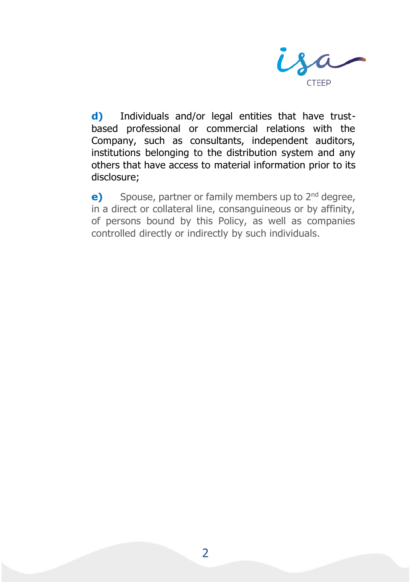

**d)** Individuals and/or legal entities that have trustbased professional or commercial relations with the Company, such as consultants, independent auditors, institutions belonging to the distribution system and any others that have access to material information prior to its disclosure;

**e)** Spouse, partner or family members up to 2<sup>nd</sup> degree, in a direct or collateral line, consanguineous or by affinity, of persons bound by this Policy, as well as companies controlled directly or indirectly by such individuals.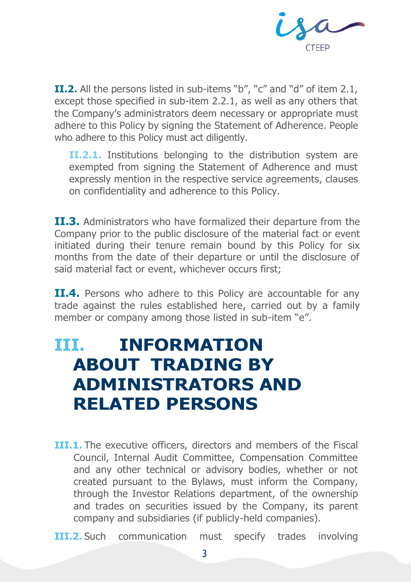

**II.2.** All the persons listed in sub-items "b", "c" and "d" of item 2.1, except those specified in sub-item 2.2.1, as well as any others that the Company's administrators deem necessary or appropriate must adhere to this Policy by signing the Statement of Adherence. People who adhere to this Policy must act diligently.

**II.2.1.** Institutions belonging to the distribution system are exempted from signing the Statement of Adherence and must expressly mention in the respective service agreements, clauses on confidentiality and adherence to this Policy.

**II.3.** Administrators who have formalized their departure from the Company prior to the public disclosure of the material fact or event initiated during their tenure remain bound by this Policy for six months from the date of their departure or until the disclosure of said material fact or event, whichever occurs first;

**II.4.** Persons who adhere to this Policy are accountable for any trade against the rules established here, carried out by a family member or company among those listed in sub-item "e".

### **III. INFORMATION ABOUT TRADING BY ADMINISTRATORS AND RELATED PERSONS**

**III.1.** The executive officers, directors and members of the Fiscal Council, Internal Audit Committee, Compensation Committee and any other technical or advisory bodies, whether or not created pursuant to the Bylaws, must inform the Company, through the Investor Relations department, of the ownership and trades on securities issued by the Company, its parent company and subsidiaries (if publicly-held companies).

**III.2.** Such communication must specify trades involving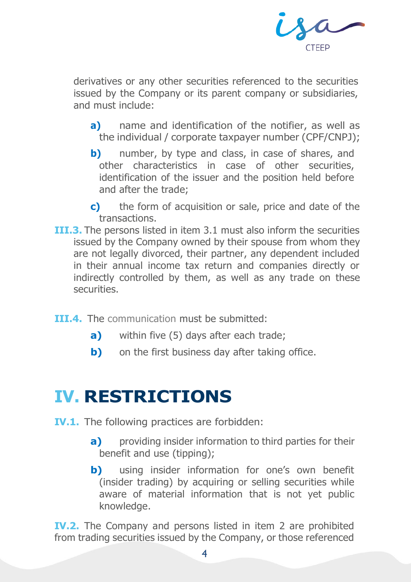

derivatives or any other securities referenced to the securities issued by the Company or its parent company or subsidiaries, and must include:

- **a)** name and identification of the notifier, as well as the individual / corporate taxpayer number (CPF/CNPJ);
- **b)** number, by type and class, in case of shares, and other characteristics in case of other securities, identification of the issuer and the position held before and after the trade;
- **c)** the form of acquisition or sale, price and date of the transactions.
- **III.3.** The persons listed in item 3.1 must also inform the securities issued by the Company owned by their spouse from whom they are not legally divorced, their partner, any dependent included in their annual income tax return and companies directly or indirectly controlled by them, as well as any trade on these securities.
- **III.4.** The communication must be submitted:
	- **a)** within five (5) days after each trade;
	- **b)** on the first business day after taking office.

#### **IV. RESTRICTIONS**

- **IV.1.** The following practices are forbidden:
	- **a)** providing insider information to third parties for their benefit and use (tipping);
	- **b)** using insider information for one's own benefit (insider trading) by acquiring or selling securities while aware of material information that is not yet public knowledge.

**IV.2.** The Company and persons listed in item 2 are prohibited from trading securities issued by the Company, or those referenced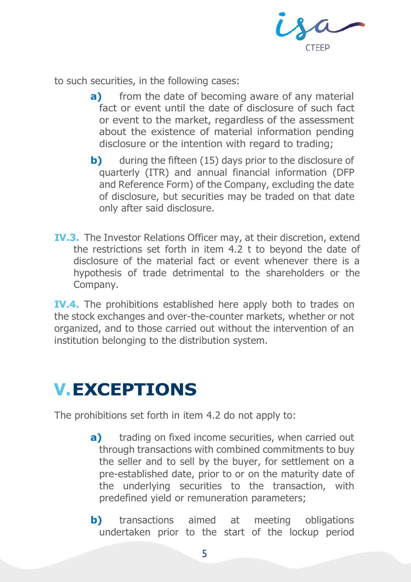

to such securities, in the following cases:

- **a)** from the date of becoming aware of any material fact or event until the date of disclosure of such fact or event to the market, regardless of the assessment about the existence of material information pending disclosure or the intention with regard to trading;
- **b)** during the fifteen (15) days prior to the disclosure of quarterly (ITR) and annual financial information (DFP and Reference Form) of the Company, excluding the date of disclosure, but securities may be traded on that date only after said disclosure.
- **IV.3.** The Investor Relations Officer may, at their discretion, extend the restrictions set forth in item 4.2 t to beyond the date of disclosure of the material fact or event whenever there is a hypothesis of trade detrimental to the shareholders or the Company.

**IV.4.** The prohibitions established here apply both to trades on the stock exchanges and over-the-counter markets, whether or not organized, and to those carried out without the intervention of an institution belonging to the distribution system.

## **V.EXCEPTIONS**

The prohibitions set forth in item 4.2 do not apply to:

- **a)** trading on fixed income securities, when carried out through transactions with combined commitments to buy the seller and to sell by the buyer, for settlement on a pre-established date, prior to or on the maturity date of the underlying securities to the transaction, with predefined yield or remuneration parameters;
- **b)** transactions aimed at meeting obligations undertaken prior to the start of the lockup period